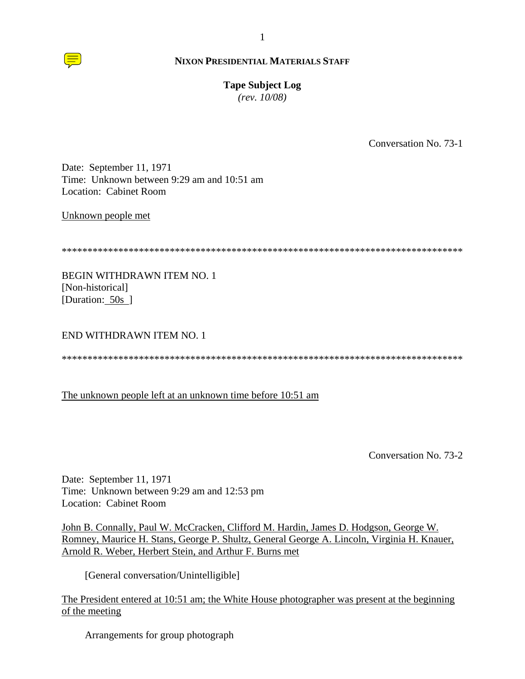

**Tape Subject Log**

*(rev. 10/08)*

Conversation No. 73-1

Date: September 11, 1971 Time: Unknown between 9:29 am and 10:51 am Location: Cabinet Room

Unknown people met

\*\*\*\*\*\*\*\*\*\*\*\*\*\*\*\*\*\*\*\*\*\*\*\*\*\*\*\*\*\*\*\*\*\*\*\*\*\*\*\*\*\*\*\*\*\*\*\*\*\*\*\*\*\*\*\*\*\*\*\*\*\*\*\*\*\*\*\*\*\*\*\*\*\*\*\*\*\*

BEGIN WITHDRAWN ITEM NO. 1 [Non-historical] [Duration: 50s ]

# END WITHDRAWN ITEM NO. 1

\*\*\*\*\*\*\*\*\*\*\*\*\*\*\*\*\*\*\*\*\*\*\*\*\*\*\*\*\*\*\*\*\*\*\*\*\*\*\*\*\*\*\*\*\*\*\*\*\*\*\*\*\*\*\*\*\*\*\*\*\*\*\*\*\*\*\*\*\*\*\*\*\*\*\*\*\*\*

The unknown people left at an unknown time before 10:51 am

Conversation No. 73-2

Date: September 11, 1971 Time: Unknown between 9:29 am and 12:53 pm Location: Cabinet Room

John B. Connally, Paul W. McCracken, Clifford M. Hardin, James D. Hodgson, George W. Romney, Maurice H. Stans, George P. Shultz, General George A. Lincoln, Virginia H. Knauer, Arnold R. Weber, Herbert Stein, and Arthur F. Burns met

[General conversation/Unintelligible]

The President entered at 10:51 am; the White House photographer was present at the beginning of the meeting

Arrangements for group photograph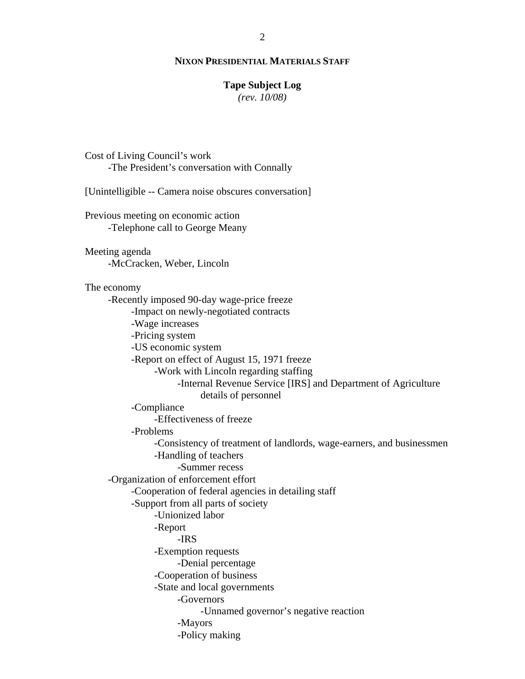## **Tape Subject Log**

*(rev. 10/08)*

 Cost of Living Council's work -The President's conversation with Connally [Unintelligible -- Camera noise obscures conversation] Previous meeting on economic action -Telephone call to George Meany Meeting agenda -McCracken, Weber, Lincoln The economy -Recently imposed 90-day wage-price freeze -Impact on newly-negotiated contracts -Wage increases -Pricing system -US economic system -Report on effect of August 15, 1971 freeze -Work with Lincoln regarding staffing -Internal Revenue Service [IRS] and Department of Agriculture details of personnel -Compliance -Effectiveness of freeze -Problems -Consistency of treatment of landlords, wage-earners, and businessmen -Handling of teachers -Summer recess -Organization of enforcement effort -Cooperation of federal agencies in detailing staff -Support from all parts of society -Unionized labor -Report -IRS -Exemption requests -Denial percentage -Cooperation of business -State and local governments -Governors -Unnamed governor's negative reaction -Mayors -Policy making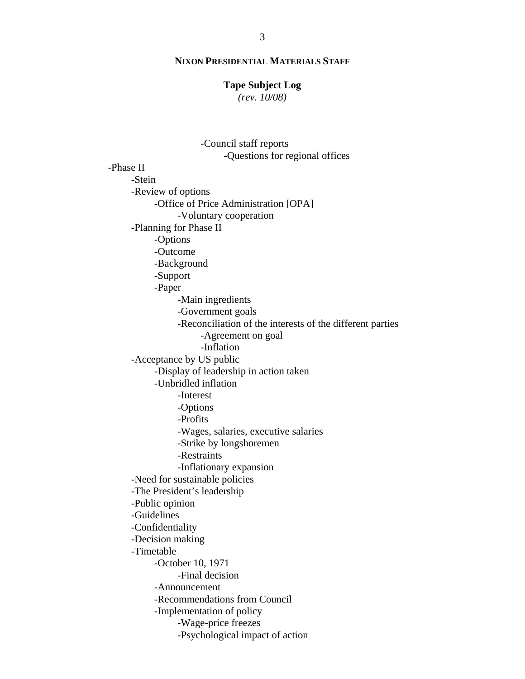# **Tape Subject Log**

*(rev. 10/08)*

 -Council staff reports -Questions for regional offices -Phase II -Stein -Review of options -Office of Price Administration [OPA] -Voluntary cooperation -Planning for Phase II -Options -Outcome -Background -Support -Paper -Main ingredients -Government goals -Reconciliation of the interests of the different parties -Agreement on goal -Inflation -Acceptance by US public -Display of leadership in action taken -Unbridled inflation -Interest -Options -Profits -Wages, salaries, executive salaries -Strike by longshoremen -Restraints -Inflationary expansion -Need for sustainable policies -The President's leadership -Public opinion -Guidelines -Confidentiality -Decision making -Timetable -October 10, 1971 -Final decision -Announcement -Recommendations from Council -Implementation of policy -Wage-price freezes -Psychological impact of action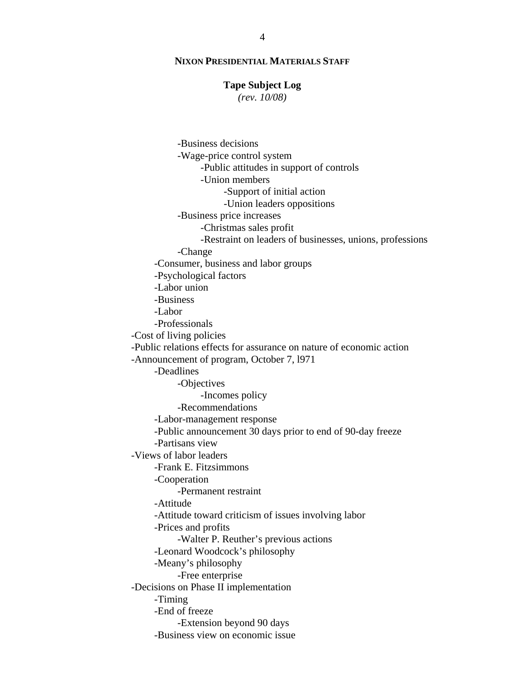#### **Tape Subject Log**

*(rev. 10/08)*

 -Business decisions -Wage-price control system -Public attitudes in support of controls -Union members -Support of initial action -Union leaders oppositions -Business price increases -Christmas sales profit -Restraint on leaders of businesses, unions, professions -Change -Consumer, business and labor groups -Psychological factors -Labor union -Business -Labor -Professionals -Cost of living policies -Public relations effects for assurance on nature of economic action -Announcement of program, October 7, l971 -Deadlines -Objectives -Incomes policy -Recommendations -Labor-management response -Public announcement 30 days prior to end of 90-day freeze -Partisans view -Views of labor leaders -Frank E. Fitzsimmons -Cooperation -Permanent restraint -Attitude -Attitude toward criticism of issues involving labor -Prices and profits -Walter P. Reuther's previous actions -Leonard Woodcock's philosophy -Meany's philosophy -Free enterprise -Decisions on Phase II implementation -Timing -End of freeze -Extension beyond 90 days -Business view on economic issue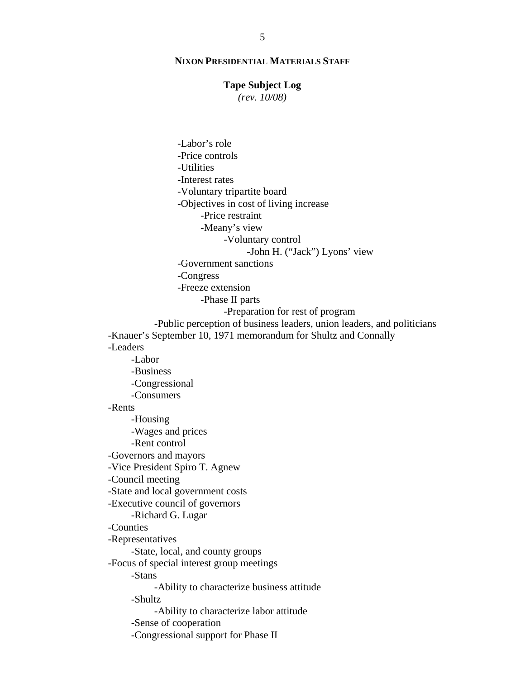### **Tape Subject Log**

*(rev. 10/08)*

 -Labor's role -Price controls -Utilities -Interest rates -Voluntary tripartite board -Objectives in cost of living increase -Price restraint -Meany's view -Voluntary control -John H. ("Jack") Lyons' view -Government sanctions -Congress -Freeze extension -Phase II parts -Preparation for rest of program -Public perception of business leaders, union leaders, and politicians -Knauer's September 10, 1971 memorandum for Shultz and Connally -Leaders -Labor -Business -Congressional -Consumers -Rents -Housing -Wages and prices -Rent control -Governors and mayors -Vice President Spiro T. Agnew -Council meeting -State and local government costs -Executive council of governors -Richard G. Lugar -Counties -Representatives -State, local, and county groups -Focus of special interest group meetings -Stans -Ability to characterize business attitude -Shultz -Ability to characterize labor attitude -Sense of cooperation -Congressional support for Phase II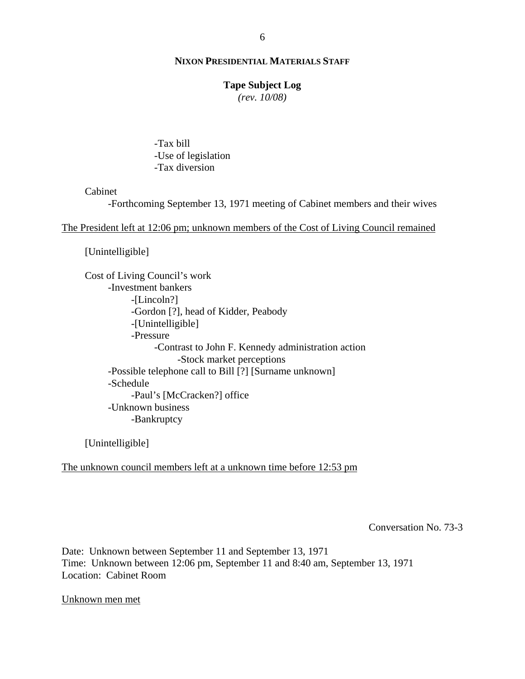# **Tape Subject Log**

*(rev. 10/08)*

 -Tax bill -Use of legislation -Tax diversion

# Cabinet

-Forthcoming September 13, 1971 meeting of Cabinet members and their wives

## The President left at 12:06 pm; unknown members of the Cost of Living Council remained

[Unintelligible]

 Cost of Living Council's work -Investment bankers -[Lincoln?] -Gordon [?], head of Kidder, Peabody -[Unintelligible] -Pressure -Contrast to John F. Kennedy administration action -Stock market perceptions -Possible telephone call to Bill [?] [Surname unknown] -Schedule -Paul's [McCracken?] office -Unknown business -Bankruptcy

[Unintelligible]

The unknown council members left at a unknown time before 12:53 pm

Conversation No. 73-3

Date: Unknown between September 11 and September 13, 1971 Time: Unknown between 12:06 pm, September 11 and 8:40 am, September 13, 1971 Location: Cabinet Room

Unknown men met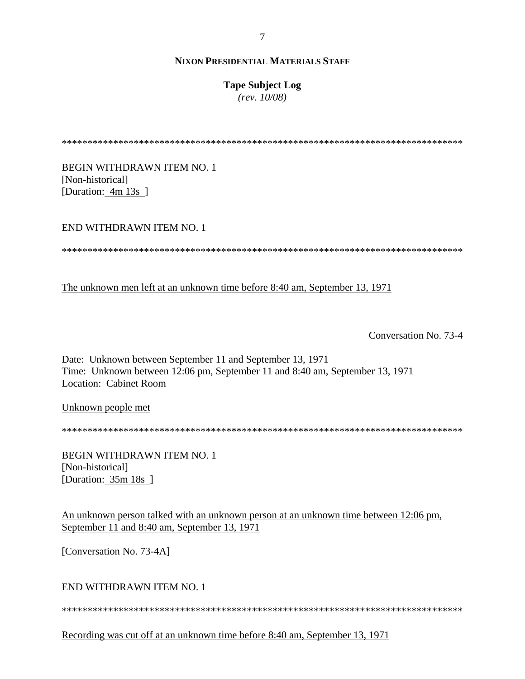# **Tape Subject Log**

 $(rev. 10/08)$ 

**BEGIN WITHDRAWN ITEM NO. 1** [Non-historical] [Duration: 4m 13s ]

# END WITHDRAWN ITEM NO. 1

The unknown men left at an unknown time before 8:40 am, September 13, 1971

Conversation No. 73-4

Date: Unknown between September 11 and September 13, 1971 Time: Unknown between 12:06 pm, September 11 and 8:40 am, September 13, 1971 Location: Cabinet Room

Unknown people met

**BEGIN WITHDRAWN ITEM NO. 1** [Non-historical] [Duration: 35m 18s ]

An unknown person talked with an unknown person at an unknown time between 12:06 pm, September 11 and 8:40 am, September 13, 1971

[Conversation No. 73-4A]

END WITHDRAWN ITEM NO. 1

Recording was cut off at an unknown time before 8:40 am, September 13, 1971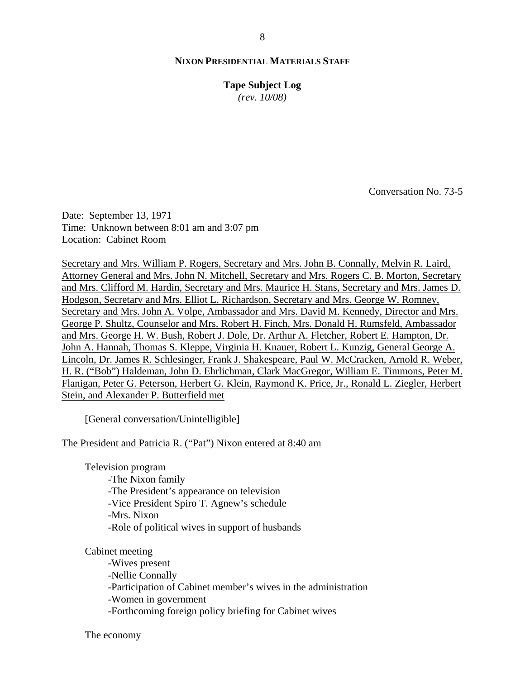**Tape Subject Log**

*(rev. 10/08)*

Conversation No. 73-5

Date: September 13, 1971 Time: Unknown between 8:01 am and 3:07 pm Location: Cabinet Room

Secretary and Mrs. William P. Rogers, Secretary and Mrs. John B. Connally, Melvin R. Laird, Attorney General and Mrs. John N. Mitchell, Secretary and Mrs. Rogers C. B. Morton, Secretary and Mrs. Clifford M. Hardin, Secretary and Mrs. Maurice H. Stans, Secretary and Mrs. James D. Hodgson, Secretary and Mrs. Elliot L. Richardson, Secretary and Mrs. George W. Romney, Secretary and Mrs. John A. Volpe, Ambassador and Mrs. David M. Kennedy, Director and Mrs. George P. Shultz, Counselor and Mrs. Robert H. Finch, Mrs. Donald H. Rumsfeld, Ambassador and Mrs. George H. W. Bush, Robert J. Dole, Dr. Arthur A. Fletcher, Robert E. Hampton, Dr. John A. Hannah, Thomas S. Kleppe, Virginia H. Knauer, Robert L. Kunzig, General George A. Lincoln, Dr. James R. Schlesinger, Frank J. Shakespeare, Paul W. McCracken, Arnold R. Weber, H. R. ("Bob") Haldeman, John D. Ehrlichman, Clark MacGregor, William E. Timmons, Peter M. Flanigan, Peter G. Peterson, Herbert G. Klein, Raymond K. Price, Jr., Ronald L. Ziegler, Herbert Stein, and Alexander P. Butterfield met

[General conversation/Unintelligible]

The President and Patricia R. ("Pat") Nixon entered at 8:40 am

Television program

 -The Nixon family -The President's appearance on television -Vice President Spiro T. Agnew's schedule -Mrs. Nixon -Role of political wives in support of husbands

Cabinet meeting

 -Wives present -Nellie Connally -Participation of Cabinet member's wives in the administration -Women in government -Forthcoming foreign policy briefing for Cabinet wives

The economy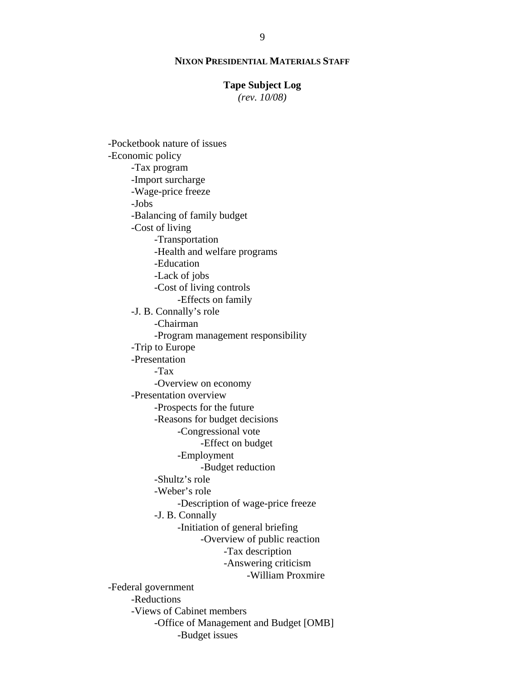# **Tape Subject Log**

*(rev. 10/08)*

 -Pocketbook nature of issues -Economic policy -Tax program -Import surcharge -Wage-price freeze -Jobs -Balancing of family budget -Cost of living -Transportation -Health and welfare programs -Education -Lack of jobs -Cost of living controls -Effects on family -J. B. Connally's role -Chairman -Program management responsibility -Trip to Europe -Presentation -Tax -Overview on economy -Presentation overview -Prospects for the future -Reasons for budget decisions -Congressional vote -Effect on budget -Employment -Budget reduction -Shultz's role -Weber's role -Description of wage-price freeze -J. B. Connally -Initiation of general briefing -Overview of public reaction -Tax description -Answering criticism -William Proxmire -Federal government -Reductions -Views of Cabinet members -Office of Management and Budget [OMB] -Budget issues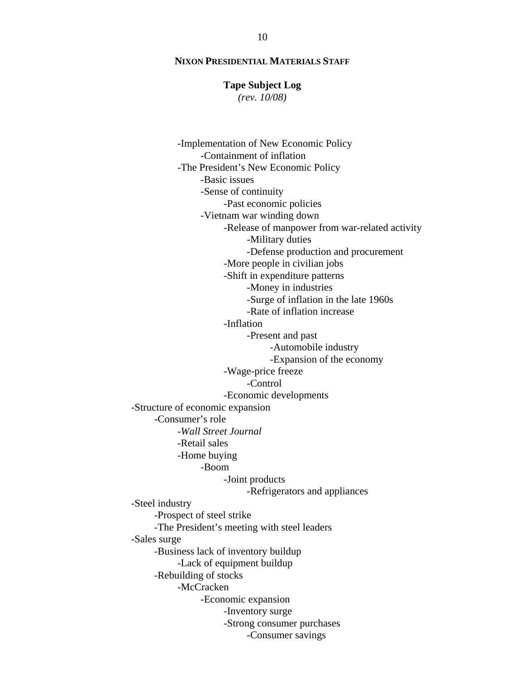#### **Tape Subject Log**

*(rev. 10/08)*

 -Implementation of New Economic Policy -Containment of inflation -The President's New Economic Policy -Basic issues -Sense of continuity -Past economic policies -Vietnam war winding down -Release of manpower from war-related activity -Military duties -Defense production and procurement -More people in civilian jobs -Shift in expenditure patterns -Money in industries -Surge of inflation in the late 1960s -Rate of inflation increase -Inflation -Present and past -Automobile industry -Expansion of the economy -Wage-price freeze -Control -Economic developments -Structure of economic expansion -Consumer's role -*Wall Street Journal* -Retail sales -Home buying -Boom -Joint products -Refrigerators and appliances -Steel industry -Prospect of steel strike -The President's meeting with steel leaders -Sales surge -Business lack of inventory buildup -Lack of equipment buildup -Rebuilding of stocks -McCracken -Economic expansion -Inventory surge -Strong consumer purchases -Consumer savings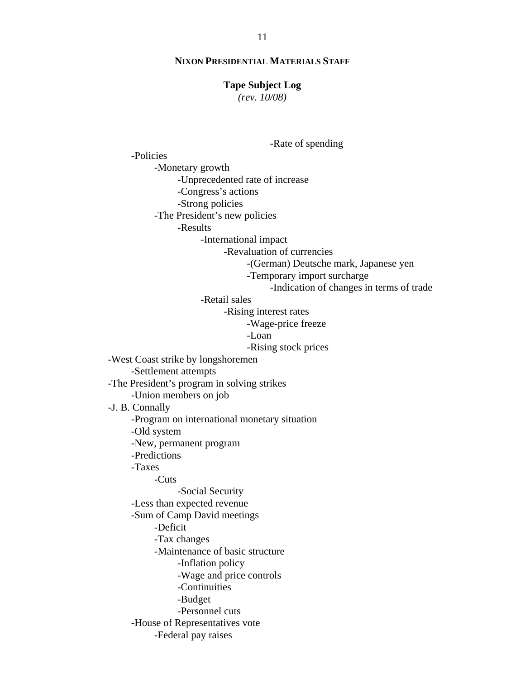### **Tape Subject Log**

*(rev. 10/08)*

-Rate of spending

-Policies

-Monetary growth

-Unprecedented rate of increase

-Congress's actions

-Strong policies

-The President's new policies

-Results

-International impact

-Revaluation of currencies

-(German) Deutsche mark, Japanese yen

-Temporary import surcharge

-Indication of changes in terms of trade

-Retail sales

-Rising interest rates

-Wage-price freeze

-Loan

-Rising stock prices

-West Coast strike by longshoremen

-Settlement attempts

-The President's program in solving strikes

-Union members on job

# -J. B. Connally

-Program on international monetary situation

-Old system

-New, permanent program

-Predictions

-Taxes

-Cuts

-Social Security

-Less than expected revenue

-Sum of Camp David meetings

-Deficit

-Tax changes

-Maintenance of basic structure

-Inflation policy

-Wage and price controls

-Continuities

-Budget

-Personnel cuts

-House of Representatives vote

-Federal pay raises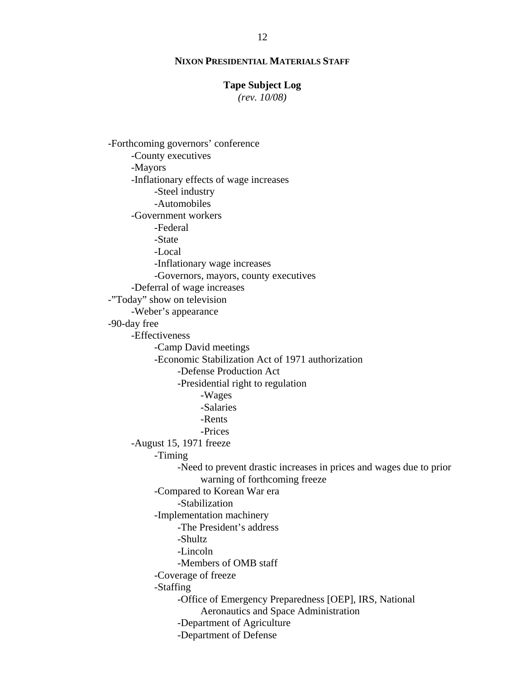## **Tape Subject Log**

*(rev. 10/08)*

 -Forthcoming governors' conference -County executives -Mayors -Inflationary effects of wage increases -Steel industry -Automobiles -Government workers -Federal -State -Local -Inflationary wage increases -Governors, mayors, county executives -Deferral of wage increases -"Today" show on television -Weber's appearance -90-day free -Effectiveness -Camp David meetings -Economic Stabilization Act of 1971 authorization -Defense Production Act -Presidential right to regulation -Wages -Salaries -Rents -Prices -August 15, 1971 freeze -Timing -Need to prevent drastic increases in prices and wages due to prior warning of forthcoming freeze -Compared to Korean War era -Stabilization -Implementation machinery -The President's address -Shultz -Lincoln -Members of OMB staff -Coverage of freeze -Staffing -Office of Emergency Preparedness [OEP], IRS, National Aeronautics and Space Administration -Department of Agriculture -Department of Defense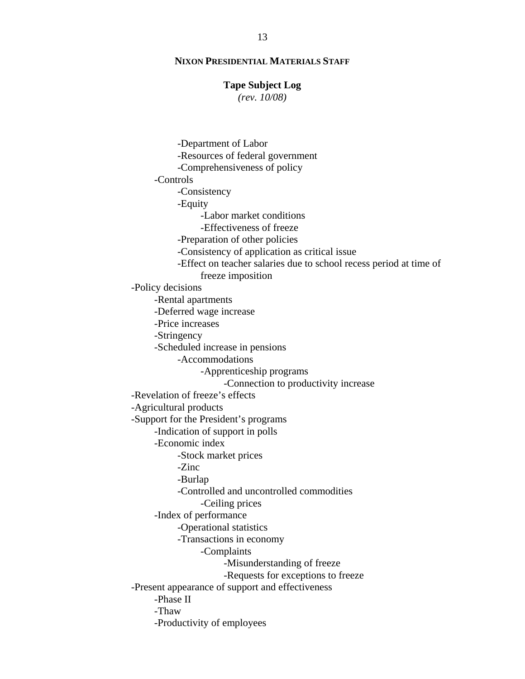### **Tape Subject Log**

*(rev. 10/08)*

 -Department of Labor -Resources of federal government -Comprehensiveness of policy -Controls -Consistency -Equity -Labor market conditions -Effectiveness of freeze -Preparation of other policies -Consistency of application as critical issue -Effect on teacher salaries due to school recess period at time of freeze imposition -Policy decisions -Rental apartments -Deferred wage increase -Price increases -Stringency -Scheduled increase in pensions -Accommodations -Apprenticeship programs -Connection to productivity increase -Revelation of freeze's effects -Agricultural products -Support for the President's programs -Indication of support in polls -Economic index -Stock market prices -Zinc -Burlap -Controlled and uncontrolled commodities -Ceiling prices -Index of performance -Operational statistics -Transactions in economy -Complaints -Misunderstanding of freeze -Requests for exceptions to freeze -Present appearance of support and effectiveness -Phase II -Thaw -Productivity of employees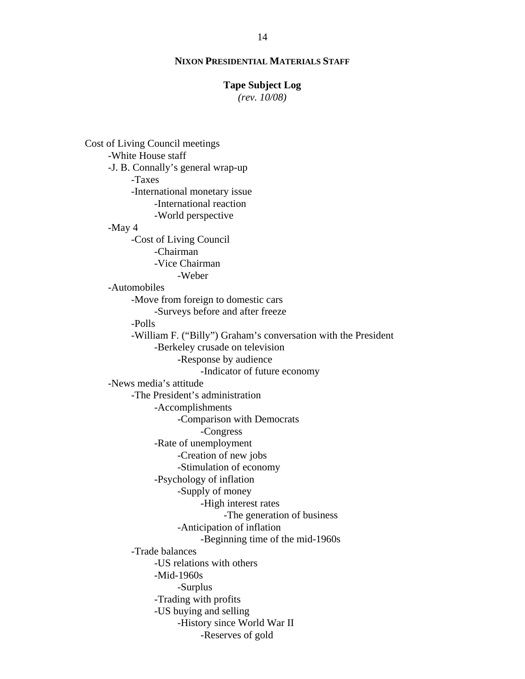### **Tape Subject Log**

*(rev. 10/08)*

 Cost of Living Council meetings -White House staff -J. B. Connally's general wrap-up -Taxes -International monetary issue -International reaction -World perspective -May 4 -Cost of Living Council -Chairman -Vice Chairman -Weber -Automobiles -Move from foreign to domestic cars -Surveys before and after freeze -Polls -William F. ("Billy") Graham's conversation with the President -Berkeley crusade on television -Response by audience -Indicator of future economy -News media's attitude -The President's administration -Accomplishments -Comparison with Democrats -Congress -Rate of unemployment -Creation of new jobs -Stimulation of economy -Psychology of inflation -Supply of money -High interest rates -The generation of business -Anticipation of inflation -Beginning time of the mid-1960s -Trade balances -US relations with others -Mid-1960s -Surplus -Trading with profits -US buying and selling -History since World War II -Reserves of gold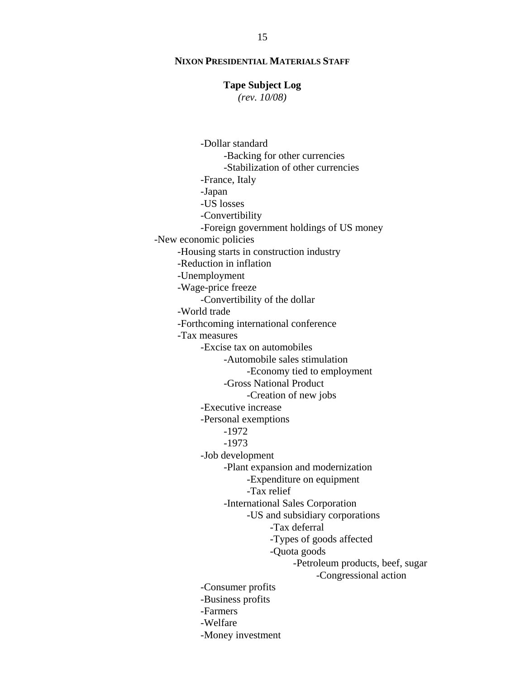## **Tape Subject Log**

*(rev. 10/08)*

 -Dollar standard -Backing for other currencies -Stabilization of other currencies -France, Italy -Japan -US losses -Convertibility -Foreign government holdings of US money -New economic policies -Housing starts in construction industry -Reduction in inflation -Unemployment -Wage-price freeze -Convertibility of the dollar -World trade -Forthcoming international conference -Tax measures -Excise tax on automobiles -Automobile sales stimulation -Economy tied to employment -Gross National Product -Creation of new jobs -Executive increase -Personal exemptions -1972 -1973 -Job development -Plant expansion and modernization -Expenditure on equipment -Tax relief -International Sales Corporation -US and subsidiary corporations -Tax deferral -Types of goods affected -Quota goods -Petroleum products, beef, sugar -Congressional action -Consumer profits -Business profits -Farmers -Welfare -Money investment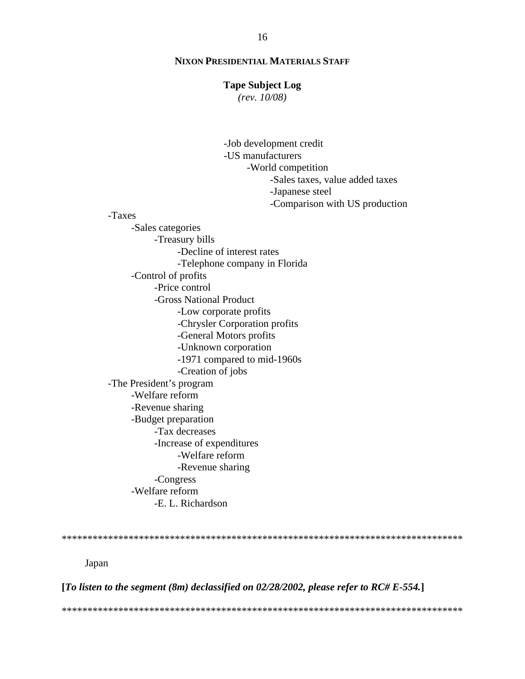## **Tape Subject Log**

 $(rev. 10/08)$ 

-Job development credit -US manufacturers -World competition -Sales taxes, value added taxes -Japanese steel -Comparison with US production -Taxes -Sales categories -Treasury bills -Decline of interest rates -Telephone company in Florida -Control of profits -Price control -Gross National Product -Low corporate profits -Chrysler Corporation profits -General Motors profits -Unknown corporation -1971 compared to mid-1960s -Creation of jobs -The President's program -Welfare reform -Revenue sharing -Budget preparation -Tax decreases -Increase of expenditures -Welfare reform -Revenue sharing -Congress -Welfare reform -E. L. Richardson

Japan

[To listen to the segment (8m) declassified on  $02/28/2002$ , please refer to RC# E-554.]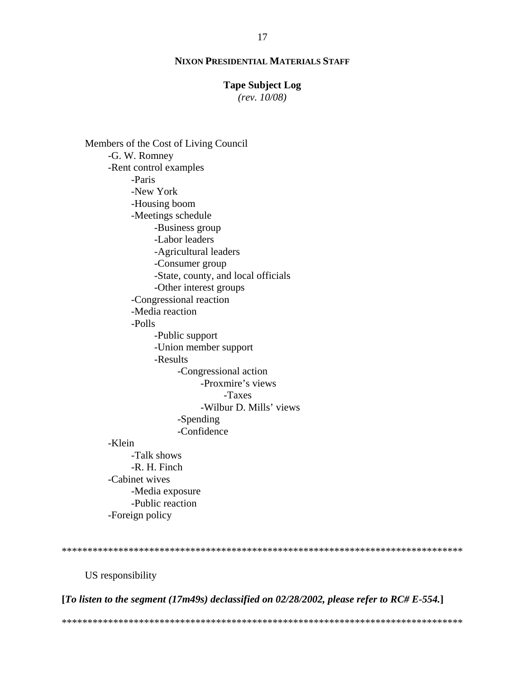# **Tape Subject Log**

 $(rev. 10/08)$ 

Members of the Cost of Living Council -G. W. Romney -Rent control examples -Paris -New York -Housing boom -Meetings schedule -Business group -Labor leaders -Agricultural leaders -Consumer group -State, county, and local officials -Other interest groups -Congressional reaction -Media reaction -Polls -Public support -Union member support -Results -Congressional action -Proxmire's views -Taxes -Wilbur D. Mills' views -Spending -Confidence -Klein -Talk shows -R. H. Finch -Cabinet wives -Media exposure -Public reaction -Foreign policy

US responsibility

[To listen to the segment (17m49s) declassified on 02/28/2002, please refer to RC# E-554.]